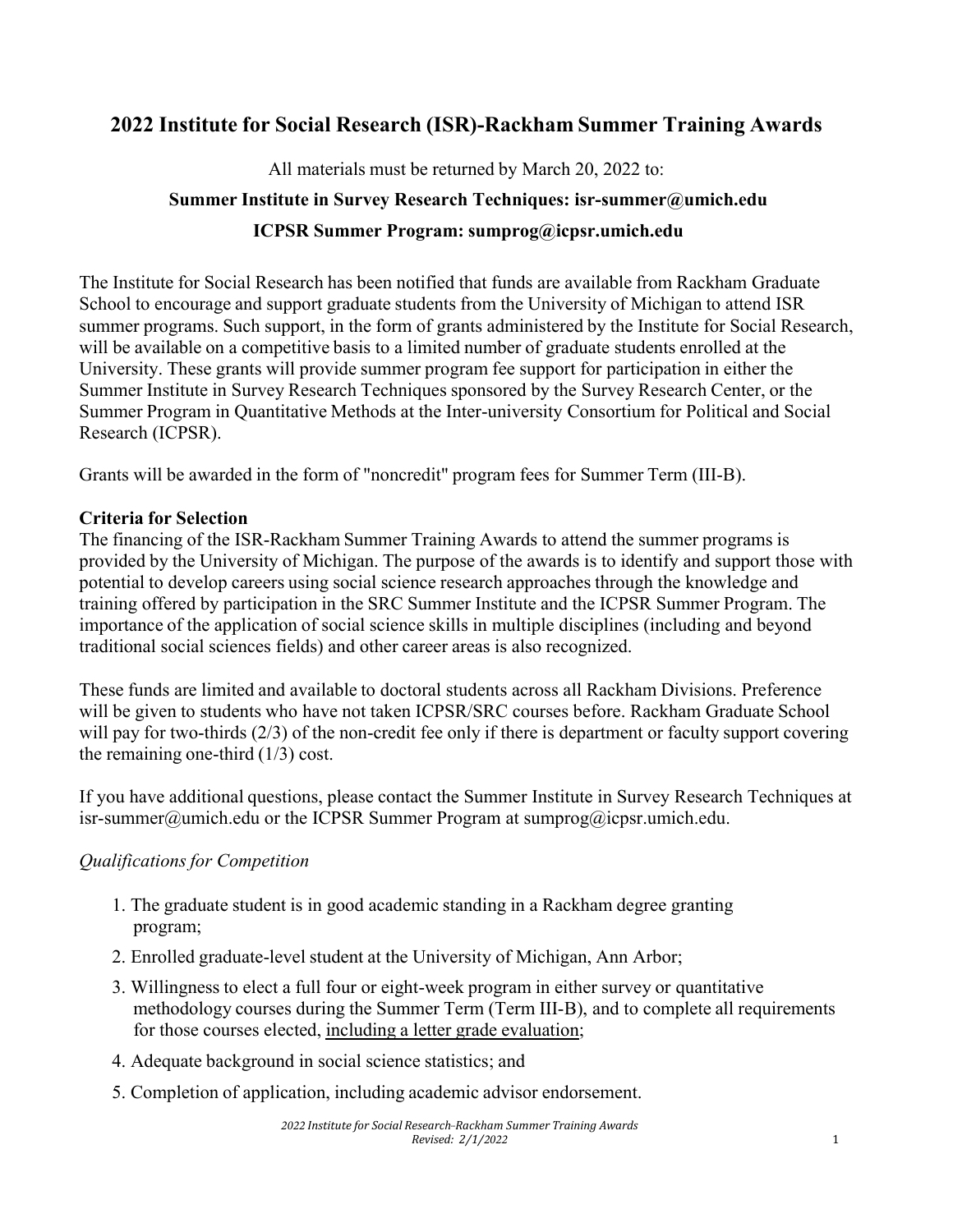## **2022 Institute for Social Research (ISR)-Rackham Summer Training Awards**

All materials must be returned by March 20, 2022 to:

# **Summer Institute in Survey Research Techniques: isr-summer@umich.edu ICPSR Summer Program: sumprog@icpsr.umich.edu**

The Institute for Social Research has been notified that funds are available from Rackham Graduate School to encourage and support graduate students from the University of Michigan to attend ISR summer programs. Such support, in the form of grants administered by the Institute for Social Research, will be available on a competitive basis to a limited number of graduate students enrolled at the University. These grants will provide summer program fee support for participation in either the Summer Institute in Survey Research Techniques sponsored by the Survey Research Center, or the Summer Program in Quantitative Methods at the Inter-university Consortium for Political and Social Research (ICPSR).

Grants will be awarded in the form of "noncredit" program fees for Summer Term (III-B).

#### **Criteria for Selection**

The financing of the ISR-Rackham Summer Training Awards to attend the summer programs is provided by the University of Michigan. The purpose of the awards is to identify and support those with potential to develop careers using social science research approaches through the knowledge and training offered by participation in the SRC Summer Institute and the ICPSR Summer Program. The importance of the application of social science skills in multiple disciplines (including and beyond traditional social sciences fields) and other career areas is also recognized.

These funds are limited and available to doctoral students across all Rackham Divisions. Preference will be given to students who have not taken ICPSR/SRC courses before. Rackham Graduate School will pay for two-thirds (2/3) of the non-credit fee only if there is department or faculty support covering the remaining one-third (1/3) cost.

If you have additional questions, please contact the Summer Institute in Survey Research Techniques at isr-summer@umich.edu or the ICPSR Summer Program at sumprog@icpsr.umich.edu.

### *Qualifications for Competition*

- 1. The graduate student is in good academic standing in a Rackham degree granting program;
- 2. Enrolled graduate-level student at the University of Michigan, Ann Arbor;
- 3. Willingness to elect a full four or eight-week program in either survey or quantitative methodology courses during the Summer Term (Term III-B), and to complete all requirements for those courses elected, including a letter grade evaluation;
- 4. Adequate background in social science statistics; and
- 5. Completion of application, including academic advisor endorsement.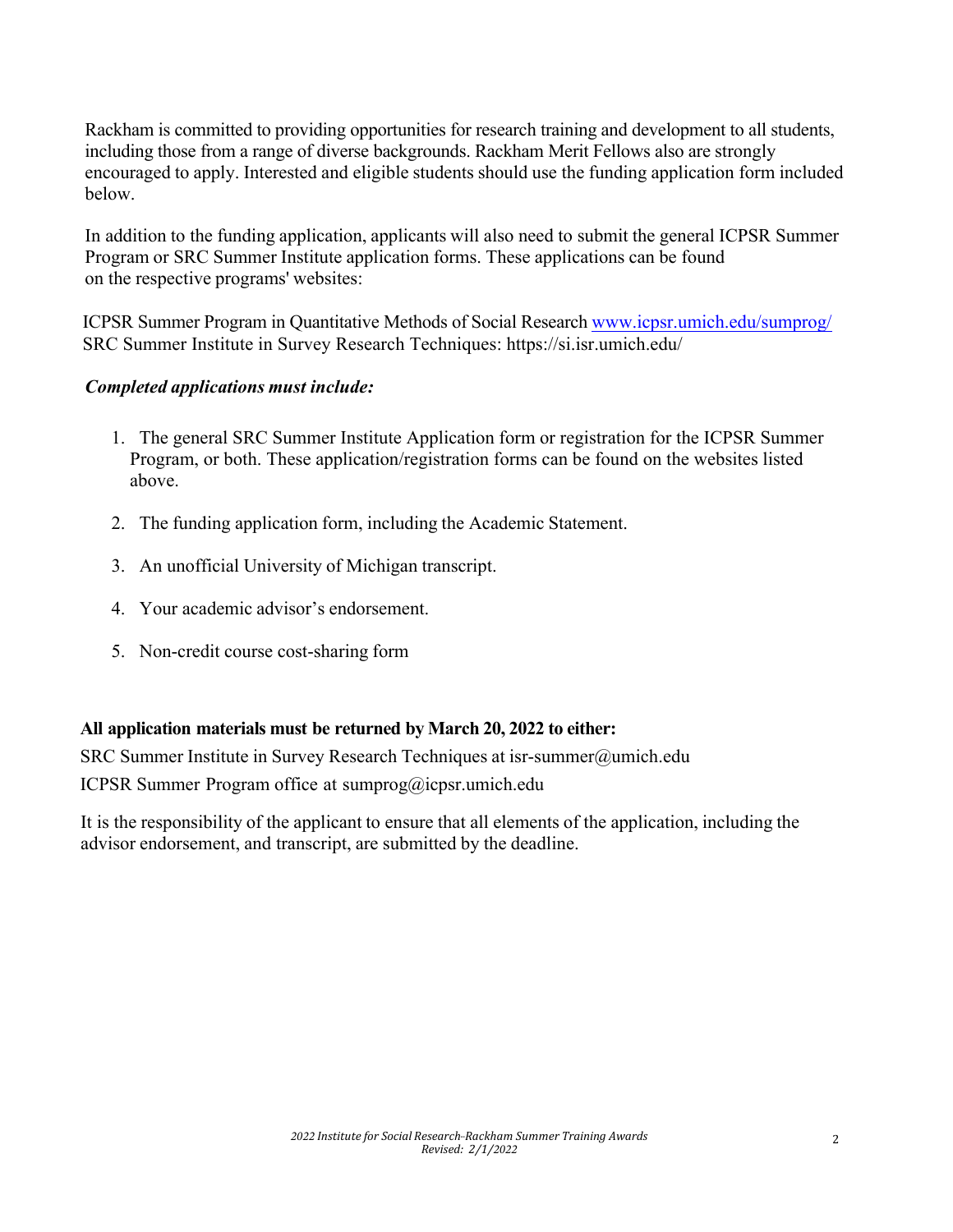Rackham is committed to providing opportunities for research training and development to all students, including those from a range of diverse backgrounds. Rackham Merit Fellows also are strongly encouraged to apply. Interested and eligible students should use the funding application form included below.

In addition to the funding application, applicants will also need to submit the general ICPSR Summer Program or SRC Summer Institute application forms. These applications can be found on the respective programs' websites:

ICPSR Summer Program in Quantitative Methods of Social Research www.icpsr.umich.edu/sumprog/ SRC Summer Institute in Survey Research Techniques: https://si.isr.umich.edu/

#### *Completed applications must include:*

- 1. The general SRC Summer Institute Application form or registration for the ICPSR Summer Program, or both. These application/registration forms can be found on the websites listed above.
- 2. The funding application form, including the Academic Statement.
- 3. An unofficial University of Michigan transcript.
- 4. Your academic advisor's endorsement.
- 5. Non-credit course cost-sharing form

#### **All application materials must be returned by March 20, 2022 to either:**

SRC Summer Institute in Survey Research Techniques at isr-summer@umich.edu ICPSR Summer Program office at sumprog@icpsr.umich.edu

It is the responsibility of the applicant to ensure that all elements of the application, including the advisor endorsement, and transcript, are submitted by the deadline.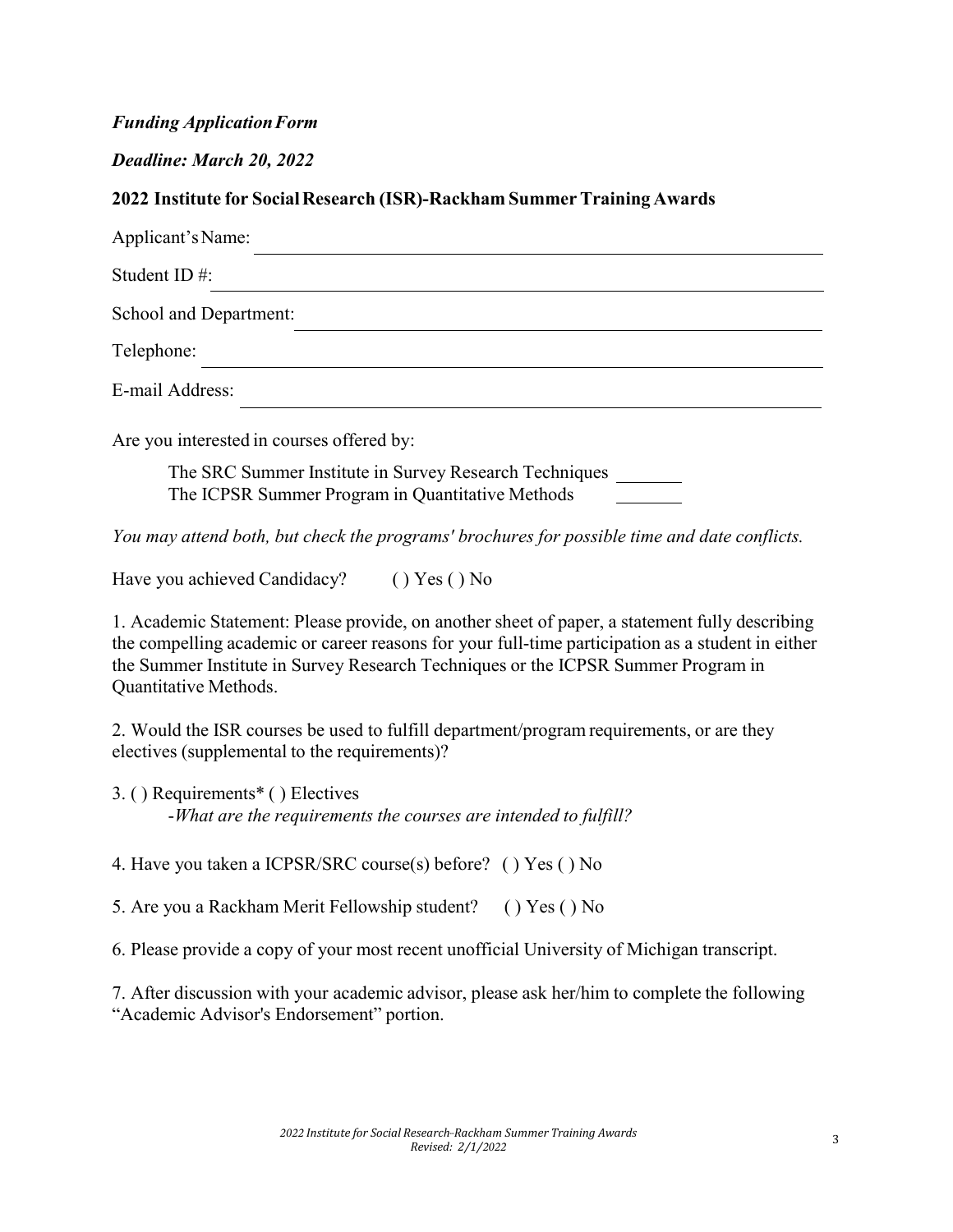#### *Funding Application Form*

*Deadline: March 20, 2022*

### **2022 Institute for SocialResearch (ISR)-Rackham SummerTraining Awards**

| Applicant's Name:                                                                                   |
|-----------------------------------------------------------------------------------------------------|
| Student ID $#$ :                                                                                    |
| School and Department:                                                                              |
| Telephone:                                                                                          |
| E-mail Address:                                                                                     |
| Are you interested in courses offered by:<br>The CDC Summer Institute in Survey Research Techniques |

The SRC Summer Institute in Survey Research Techniques The ICPSR Summer Program in Quantitative Methods

*You may attend both, but check the programs' brochures for possible time and date conflicts.*

Have you achieved Candidacy? ( ) Yes ( ) No

1. Academic Statement: Please provide, on another sheet of paper, a statement fully describing the compelling academic or career reasons for your full-time participation as a student in either the Summer Institute in Survey Research Techniques or the ICPSR Summer Program in Quantitative Methods.

2. Would the ISR courses be used to fulfill department/program requirements, or are they electives (supplemental to the requirements)?

3. ( ) Requirements\* ( ) Electives -*What are the requirements the courses are intended to fulfill?*

4. Have you taken a ICPSR/SRC course(s) before? ( ) Yes ( ) No

5. Are you a Rackham Merit Fellowship student? ( ) Yes ( ) No

6. Please provide a copy of your most recent unofficial University of Michigan transcript.

7. After discussion with your academic advisor, please ask her/him to complete the following "Academic Advisor's Endorsement" portion.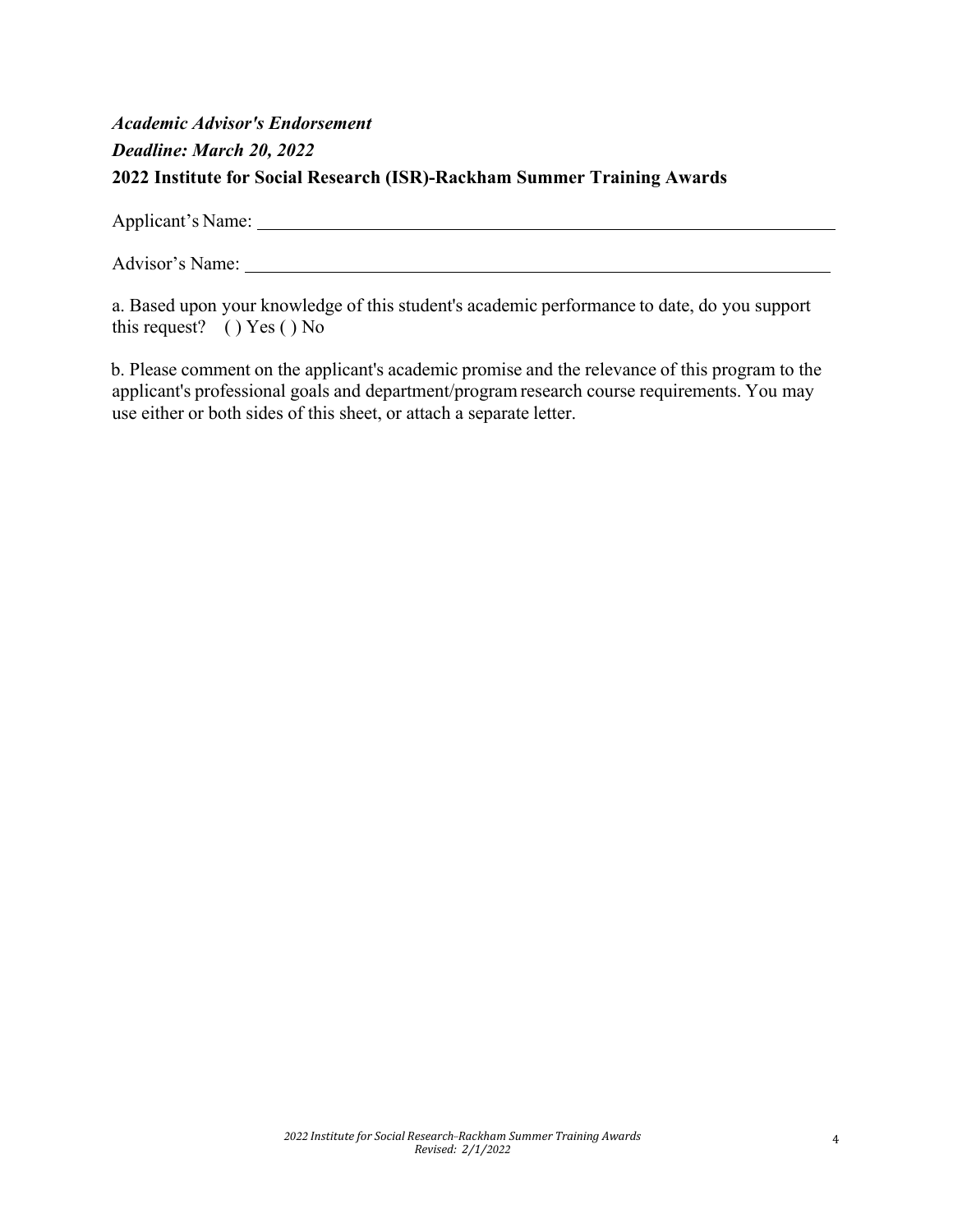# *Academic Advisor's Endorsement Deadline: March 20, 2022* **2022 Institute for Social Research (ISR)-Rackham Summer Training Awards**

Applicant's Name:

Advisor's Name:

a. Based upon your knowledge of this student's academic performance to date, do you support this request? ( ) Yes ( ) No

b. Please comment on the applicant's academic promise and the relevance of this program to the applicant's professional goals and department/program research course requirements. You may use either or both sides of this sheet, or attach a separate letter.